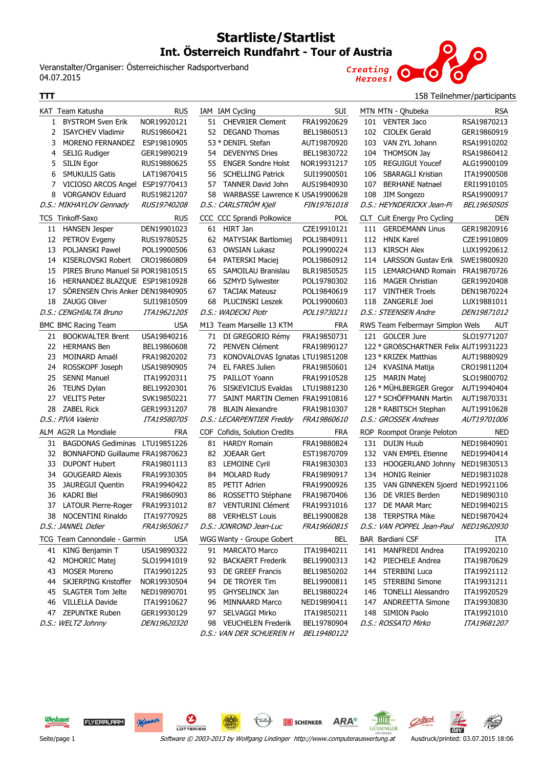## **Startliste/Startlist Int. Österreich Rundfahrt - Tour of Austria**

IAM IAM Cycling SUI

Veranstalter/Organiser: Österreichischer Radsportverband Veranstalte<br>04.07.2015<br>——



## **TTT** 158 Teilnehmer/participants

|                | KAT Team Katusha                   | <b>RUS</b>         |
|----------------|------------------------------------|--------------------|
| 1              | <b>BYSTROM Sven Erik</b>           | NOR19920121        |
| $\overline{2}$ | <b>ISAYCHEV Vladimir</b>           | RUS19860421        |
| 3              | <b>MORENO FERNANDEZ</b>            | ESP19810905        |
| 4              | <b>SELIG Rudiger</b>               | GER19890219        |
| 5              | <b>SILIN Egor</b>                  | RUS19880625        |
| 6              | <b>SMUKULIS Gatis</b>              | LAT19870415        |
| 7              | VICIOSO ARCOS Angel                | ESP19770413        |
| 8              | <b>VORGANOV Eduard</b>             | RUS19821207        |
|                | D.S.: MIKHAYLOV Gennady            | <i>RUS19740208</i> |
|                | TCS Tinkoff-Saxo                   | <b>RUS</b>         |
| 11             | <b>HANSEN Jesper</b>               | DEN19901023        |
| 12             | PETROV Evgeny                      | RUS19780525        |
| 13             | <b>POLJANSKI Pawel</b>             | POL19900506        |
| 14             | <b>KISERLOVSKI Robert</b>          | CRO19860809        |
| 15             | PIRES Bruno Manuel Sil POR19810515 |                    |
| 16             | HERNANDEZ BLAZQUE                  | ESP19810928        |
| 17             | SÖRENSEN Chris Anker DEN19840905   |                    |
| 18             | <b>ZAUGG Oliver</b>                | SUI19810509        |
|                | D.S.: CENGHIALTA Bruno             | <i>ITA19621205</i> |
|                | <b>BMC BMC Racing Team</b>         | USA                |
| 21             | <b>BOOKWALTER Brent</b>            | USA19840216        |
| 22             | <b>HERMANS Ben</b>                 | BEL19860608        |
| 23             | MOINARD Amaël                      | FRA19820202        |
| 24             | ROSSKOPF Joseph                    | USA19890905        |
| 25             | <b>SENNI Manuel</b>                | ITA19920311        |
|                |                                    |                    |
| 26             | <b>TEUNS Dylan</b>                 | BEL19920301        |
| 27             | <b>VELITS Peter</b>                | SVK19850221        |
| 28             | <b>ZABEL Rick</b>                  | GER19931207        |
|                | D.S.: PIVA Valerio                 | <i>ITA19580705</i> |
|                | ALM AG2R La Mondiale               | FRA                |
| 31             | <b>BAGDONAS Gediminas</b>          | LTU19851226        |
| 32             | BONNAFOND Guillaume FRA19870623    |                    |
| 33             | <b>DUPONT Hubert</b>               | FRA19801113        |
| 34             | <b>GOUGEARD Alexis</b>             | FRA19930305        |
| 35             | JAUREGUI Quentin                   | FRA19940422        |
| 36             | <b>KADRI Blel</b>                  | FRA19860903        |
| 37             | <b>LATOUR Pierre-Roger</b>         | FRA19931012        |
| 38             | <b>NOCENTINI Rinaldo</b>           | ITA19770925        |
|                | D.S.: JANNEL Didier                | FRA19650617        |
|                | TCG Team Cannondale - Garmin       | USA                |
| 41             | KING Benjamin T                    | USA19890322        |
| 42             | <b>MOHORIC Matej</b>               | SLO19941019        |
| 43             | <b>MOSER Moreno</b>                | ITA19901225        |
| 44             | <b>SKJERPING Kristoffer</b>        | NOR19930504        |
| 45             | <b>SLAGTER Tom Jelte</b>           | NED19890701        |
| 46             | <b>VILLELLA Davide</b>             | ITA19910627        |
| 47             | ZEPUNTKE Ruben                     | GER19930129        |
|                | D.S.: WELTZ Johnny                 | <i>DEN19620320</i> |
|                |                                    |                    |

| 51         | <b>CHEVRIER Clement</b>         | FRA19920629        |
|------------|---------------------------------|--------------------|
| 52         | <b>DEGAND Thomas</b>            | BEL19860513        |
|            | 53 * DENIFL Stefan              | AUT19870920        |
| 54         | <b>DEVENYNS Dries</b>           | BEL19830722        |
|            | 55 ENGER Sondre Holst           | NOR19931217        |
| 56         | <b>SCHELLING Patrick</b>        | SUI19900501        |
| 57         | TANNER David John               | AUS19840930        |
| 58         | WARBASSE Lawrence K USA19900628 |                    |
|            | D.S.: CARLSTRÖM Kjell           | <i>FIN19761018</i> |
| <b>CCC</b> | CCC Sprandi Polkowice           | POL                |
| 61         | HIRT Jan                        | CZE19910121        |
| 62         | MATYSIAK Bartlomiej             | POL19840911        |
| 63         | <b>OWSIAN Lukasz</b>            | POL19900224        |
| 64         | PATERSKI Maciej                 | POL19860912        |
| 65         | SAMOILAU Branislau              | BLR19850525        |
| 66         | SZMYD Sylwester                 | POL19780302        |
| 67         | <b>TACIAK Mateusz</b>           | POL19840619        |
| 68         | PLUCINSKI Leszek                | POL19900603        |
|            | D.S.: WADECKI Piotr             | POL19730211        |
|            | M13 Team Marseille 13 KTM       | FRA                |
| 71         | DI GREGORIO Rémy                | FRA19850731        |
| 72         | <b>PENVEN Clément</b>           | FRA19890127        |
| 73         | KONOVALOVAS Ignatas LTU19851208 |                    |
| 74         | EL FARES Julien                 | FRA19850601        |
| 75         | PAILLOT Yoann                   | FRA19910528        |
| 76         | <b>SISKEVICIUS Evaldas</b>      | LTU19881230        |
| 77         | <b>SAINT MARTIN Clemen</b>      | FRA19910816        |
| 78         | <b>BLAIN Alexandre</b>          | FRA19810307        |
|            | D.S.: LECARPENTIER Freddy       | <i>FRA19860610</i> |
|            | COF Cofidis, Solution Credits   | FRA                |
| 81         | <b>HARDY Romain</b>             | FRA19880824        |
| 82         | <b>JOEAAR Gert</b>              | EST19870709        |
| 83         | <b>LEMOINE Cyril</b>            | FRA19830303        |
| 84         | MOLARD Rudy                     | FRA19890917        |
| 85         | PETIT Adrien                    | FRA19900926        |
| 86         | ROSSETTO Stéphane               | FRA19870406        |
| 87         | <b>VENTURINI Clément</b>        | FRA19931016        |
| 88         | <b>VERHELST Louis</b>           | BEL19900828        |
|            | D.S.: JONROND Jean-Luc          | FRA19660815        |
|            | WGG Wanty - Groupe Gobert       | BEL                |
| 91         | <b>MARCATO Marco</b>            | ITA19840211        |
| 92         | <b>BACKAERT Frederik</b>        | BEL19900313        |
| 93         | <b>DE GREEF Francis</b>         | BEL19850202        |
| 94         | DE TROYER Tim                   | BEL19900811        |
| 95         | GHYSELINCK Jan                  | BEL19880224        |
| 96         | <b>MINNAARD Marco</b>           | NED19890411        |
| 97         | <b>SELVAGGI Mirko</b>           | ITA19850211        |
| 98         | <b>VEUCHELEN Frederik</b>       | BEL19780904        |
|            | D.S.: VAN DER SCHUEREN H        | <i>BEL19480122</i> |

|     | MTN MTN - Qhubeka                     | <b>RSA</b>         |
|-----|---------------------------------------|--------------------|
| 101 | <b>VENTER Jaco</b>                    | RSA19870213        |
| 102 | <b>CIOLEK Gerald</b>                  | GER19860919        |
| 103 | VAN ZYL Johann                        | RSA19910202        |
| 104 | <b>THOMSON Jay</b>                    | RSA19860412        |
| 105 | <b>REGUIGUI Youcef</b>                | ALG19900109        |
|     | 106 SBARAGLI Kristian                 | ITA19900508        |
| 107 | <b>BERHANE Natnael</b>                | ERI19910105        |
| 108 | <b>JIM Songezo</b>                    | RSA19900917        |
|     | D.S.: HEYNDERICKX Jean-Pi             | BEL19650505        |
|     | CLT Cult Energy Pro Cycling           | DEN                |
| 111 | <b>GERDEMANN Linus</b>                | GER19820916        |
| 112 | <b>HNIK Karel</b>                     | CZE19910809        |
| 113 | <b>KIRSCH Alex</b>                    | LUX19920612        |
| 114 | <b>LARSSON Gustav Erik</b>            | SWE19800920        |
|     | 115 LEMARCHAND Romain                 | FRA19870726        |
| 116 | <b>MAGER Christian</b>                | GER19920408        |
| 117 | <b>VINTHER Troels</b>                 | DEN19870224        |
| 118 | <b>ZANGERLE Joel</b>                  | LUX19881011        |
|     | D.S.: STEENSEN Andre                  | DEN19871012        |
|     | RWS Team Felbermayr Simplon Wels AUT  |                    |
|     | 121 GOLCER Jure                       | SLO19771207        |
|     | 122 * GROßSCHARTNER Felix AUT19931223 |                    |
|     | 123 * KRIZEK Matthias                 | AUT19880929        |
|     | 124 KVASINA Matija                    | CRO19811204        |
|     | 125 MARIN Matej                       | SLO19800702        |
|     | 126 * MÜHLBERGER Gregor               | AUT19940404        |
|     | 127 * SCHÖFFMANN Martin               | AUT19870331        |
|     | 128 * RABITSCH Stephan                | AUT19910628        |
|     | D.S.: GROSSEK Andreas                 | <i>AUT19701006</i> |
|     |                                       |                    |
|     | ROP Roompot Oranje Peloton            | <b>NED</b>         |
| 131 | <b>DUIJN Huub</b>                     | NED19840901        |
| 132 | <b>VAN EMPEL Etienne</b>              | NED19940414        |
| 133 | HOOGERLAND Johnny                     | NED19830513        |
| 134 | <b>HONIG Reinier</b>                  | NED19831028        |
| 135 | VAN GINNEKEN Sjoerd                   | NED19921106        |
| 136 | DE VRIES Berden                       | NED19890310        |
| 137 | DE MAAR Marc                          | NED19840215        |
|     | 138 TERPSTRA Mike                     | NED19870424        |
|     | D.S.: VAN POPPEL Jean-Paul            | <i>NED19620930</i> |
|     | <b>BAR Bardiani CSF</b>               | ITA                |
| 141 | <b>MANFREDI Andrea</b>                | ITA19920210        |
| 142 | PIECHELE Andrea                       | ITA19870629        |
| 144 | <b>STERBINI Luca</b>                  | ITA19921112        |
| 145 | <b>STERBINI Simone</b>                | ITA19931211        |
| 146 | <b>TONELLI Alessandro</b>             | ITA19920529        |
| 147 | <b>ANDREETTA Simone</b>               | ITA19930830        |
| 148 | <b>SIMION Paolo</b>                   | ITA19921010        |
|     | D.S.: ROSSATO Mirko                   | ITA19681207        |